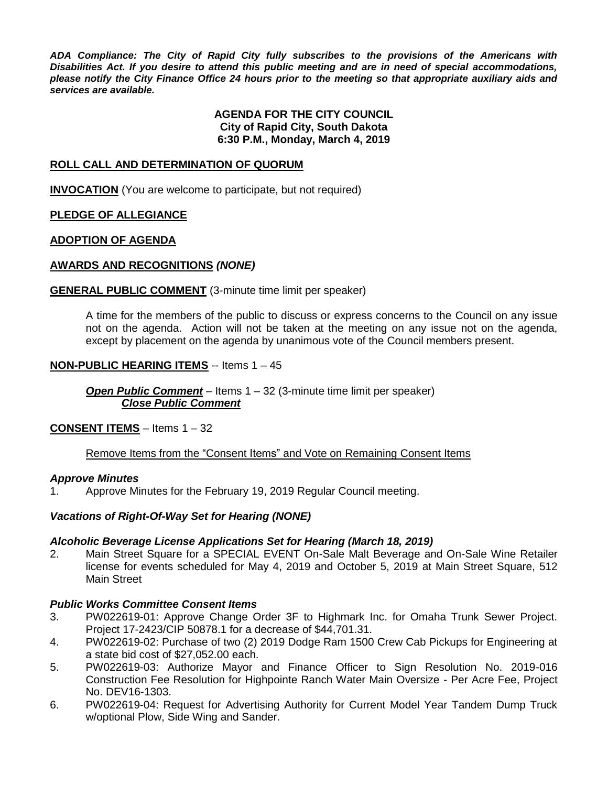*ADA Compliance: The City of Rapid City fully subscribes to the provisions of the Americans with Disabilities Act. If you desire to attend this public meeting and are in need of special accommodations, please notify the City Finance Office 24 hours prior to the meeting so that appropriate auxiliary aids and services are available.*

## **AGENDA FOR THE CITY COUNCIL City of Rapid City, South Dakota 6:30 P.M., Monday, March 4, 2019**

## **ROLL CALL AND DETERMINATION OF QUORUM**

**INVOCATION** (You are welcome to participate, but not required)

## **PLEDGE OF ALLEGIANCE**

## **ADOPTION OF AGENDA**

## **AWARDS AND RECOGNITIONS** *(NONE)*

## **GENERAL PUBLIC COMMENT** (3-minute time limit per speaker)

A time for the members of the public to discuss or express concerns to the Council on any issue not on the agenda. Action will not be taken at the meeting on any issue not on the agenda, except by placement on the agenda by unanimous vote of the Council members present.

## **NON-PUBLIC HEARING ITEMS** -- Items 1 – 45

*Open Public Comment* – Items 1 – 32 (3-minute time limit per speaker) *Close Public Comment*

## **CONSENT ITEMS** – Items 1 – 32

## Remove Items from the "Consent Items" and Vote on Remaining Consent Items

## *Approve Minutes*

1. Approve Minutes for the February 19, 2019 Regular Council meeting.

## *Vacations of Right-Of-Way Set for Hearing (NONE)*

## *Alcoholic Beverage License Applications Set for Hearing (March 18, 2019)*

2. Main Street Square for a SPECIAL EVENT On-Sale Malt Beverage and On-Sale Wine Retailer license for events scheduled for May 4, 2019 and October 5, 2019 at Main Street Square, 512 Main Street

## *Public Works Committee Consent Items*

- 3. PW022619-01: Approve Change Order 3F to Highmark Inc. for Omaha Trunk Sewer Project. Project 17-2423/CIP 50878.1 for a decrease of \$44,701.31.
- 4. PW022619-02: Purchase of two (2) 2019 Dodge Ram 1500 Crew Cab Pickups for Engineering at a state bid cost of \$27,052.00 each.
- 5. PW022619-03: Authorize Mayor and Finance Officer to Sign Resolution No. 2019-016 Construction Fee Resolution for Highpointe Ranch Water Main Oversize - Per Acre Fee, Project No. DEV16-1303.
- 6. PW022619-04: Request for Advertising Authority for Current Model Year Tandem Dump Truck w/optional Plow, Side Wing and Sander.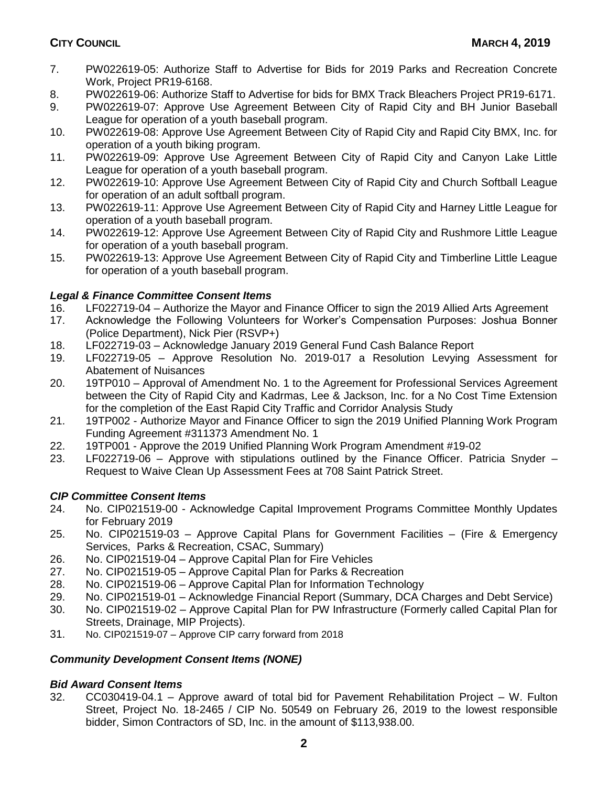- 7. PW022619-05: Authorize Staff to Advertise for Bids for 2019 Parks and Recreation Concrete Work, Project PR19-6168.
- 8. PW022619-06: Authorize Staff to Advertise for bids for BMX Track Bleachers Project PR19-6171.
- 9. PW022619-07: Approve Use Agreement Between City of Rapid City and BH Junior Baseball League for operation of a youth baseball program.
- 10. PW022619-08: Approve Use Agreement Between City of Rapid City and Rapid City BMX, Inc. for operation of a youth biking program.
- 11. PW022619-09: Approve Use Agreement Between City of Rapid City and Canyon Lake Little League for operation of a youth baseball program.
- 12. PW022619-10: Approve Use Agreement Between City of Rapid City and Church Softball League for operation of an adult softball program.
- 13. PW022619-11: Approve Use Agreement Between City of Rapid City and Harney Little League for operation of a youth baseball program.
- 14. PW022619-12: Approve Use Agreement Between City of Rapid City and Rushmore Little League for operation of a youth baseball program.
- 15. PW022619-13: Approve Use Agreement Between City of Rapid City and Timberline Little League for operation of a youth baseball program.

# *Legal & Finance Committee Consent Items*

- 16. LF022719-04 Authorize the Mayor and Finance Officer to sign the 2019 Allied Arts Agreement
- 17. Acknowledge the Following Volunteers for Worker's Compensation Purposes: Joshua Bonner (Police Department), Nick Pier (RSVP+)
- 18. LF022719-03 Acknowledge January 2019 General Fund Cash Balance Report
- 19. LF022719-05 Approve Resolution No. 2019-017 a Resolution Levying Assessment for Abatement of Nuisances
- 20. 19TP010 Approval of Amendment No. 1 to the Agreement for Professional Services Agreement between the City of Rapid City and Kadrmas, Lee & Jackson, Inc. for a No Cost Time Extension for the completion of the East Rapid City Traffic and Corridor Analysis Study
- 21. 19TP002 Authorize Mayor and Finance Officer to sign the 2019 Unified Planning Work Program Funding Agreement #311373 Amendment No. 1
- 22. 19TP001 Approve the 2019 Unified Planning Work Program Amendment #19-02
- 23. LF022719-06 Approve with stipulations outlined by the Finance Officer. Patricia Snyder Request to Waive Clean Up Assessment Fees at 708 Saint Patrick Street.

# *CIP Committee Consent Items*

- 24. No. CIP021519-00 Acknowledge Capital Improvement Programs Committee Monthly Updates for February 2019
- 25. No. CIP021519-03 Approve Capital Plans for Government Facilities (Fire & Emergency Services, Parks & Recreation, CSAC, Summary)
- 26. No. CIP021519-04 Approve Capital Plan for Fire Vehicles
- 27. No. CIP021519-05 Approve Capital Plan for Parks & Recreation
- 28. No. CIP021519-06 Approve Capital Plan for Information Technology
- 29. No. CIP021519-01 Acknowledge Financial Report (Summary, DCA Charges and Debt Service)
- 30. No. CIP021519-02 Approve Capital Plan for PW Infrastructure (Formerly called Capital Plan for Streets, Drainage, MIP Projects).
- 31. No. CIP021519-07 Approve CIP carry forward from 2018

# *Community Development Consent Items (NONE)*

# *Bid Award Consent Items*

32. CC030419-04.1 – Approve award of total bid for Pavement Rehabilitation Project – W. Fulton Street, Project No. 18-2465 / CIP No. 50549 on February 26, 2019 to the lowest responsible bidder, Simon Contractors of SD, Inc. in the amount of \$113,938.00.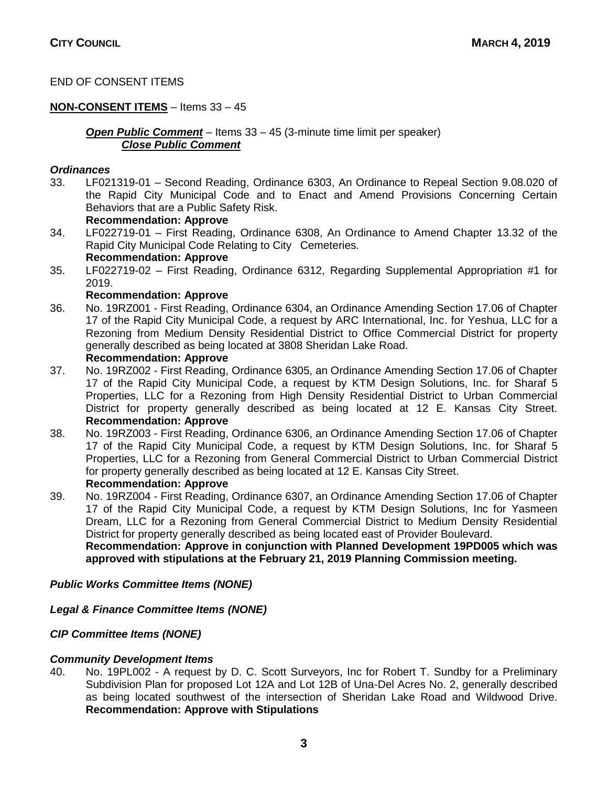# END OF CONSENT ITEMS

# **NON-CONSENT ITEMS** – Items 33 – 45

*Open Public Comment* – Items 33 – 45 (3-minute time limit per speaker) *Close Public Comment*

## *Ordinances*

33. LF021319-01 – Second Reading, Ordinance 6303, An Ordinance to Repeal Section 9.08.020 of the Rapid City Municipal Code and to Enact and Amend Provisions Concerning Certain Behaviors that are a Public Safety Risk.

## **Recommendation: Approve**

- 34. LF022719-01 First Reading, Ordinance 6308, An Ordinance to Amend Chapter 13.32 of the Rapid City Municipal Code Relating to City Cemeteries. **Recommendation: Approve**
- 35. LF022719-02 First Reading, Ordinance 6312, Regarding Supplemental Appropriation #1 for 2019.

## **Recommendation: Approve**

- 36. No. 19RZ001 First Reading, Ordinance 6304, an Ordinance Amending Section 17.06 of Chapter 17 of the Rapid City Municipal Code, a request by ARC International, Inc. for Yeshua, LLC for a Rezoning from Medium Density Residential District to Office Commercial District for property generally described as being located at 3808 Sheridan Lake Road. **Recommendation: Approve**
- 37. No. 19RZ002 First Reading, Ordinance 6305, an Ordinance Amending Section 17.06 of Chapter 17 of the Rapid City Municipal Code, a request by KTM Design Solutions, Inc. for Sharaf 5 Properties, LLC for a Rezoning from High Density Residential District to Urban Commercial District for property generally described as being located at 12 E. Kansas City Street. **Recommendation: Approve**
- 38. No. 19RZ003 First Reading, Ordinance 6306, an Ordinance Amending Section 17.06 of Chapter 17 of the Rapid City Municipal Code, a request by KTM Design Solutions, Inc. for Sharaf 5 Properties, LLC for a Rezoning from General Commercial District to Urban Commercial District for property generally described as being located at 12 E. Kansas City Street. **Recommendation: Approve**
- 39. No. 19RZ004 First Reading, Ordinance 6307, an Ordinance Amending Section 17.06 of Chapter 17 of the Rapid City Municipal Code, a request by KTM Design Solutions, Inc for Yasmeen Dream, LLC for a Rezoning from General Commercial District to Medium Density Residential District for property generally described as being located east of Provider Boulevard. **Recommendation: Approve in conjunction with Planned Development 19PD005 which was approved with stipulations at the February 21, 2019 Planning Commission meeting.**

# *Public Works Committee Items (NONE)*

# *Legal & Finance Committee Items (NONE)*

# *CIP Committee Items (NONE)*

# *Community Development Items*

40. No. 19PL002 - A request by D. C. Scott Surveyors, Inc for Robert T. Sundby for a Preliminary Subdivision Plan for proposed Lot 12A and Lot 12B of Una-Del Acres No. 2, generally described as being located southwest of the intersection of Sheridan Lake Road and Wildwood Drive. **Recommendation: Approve with Stipulations**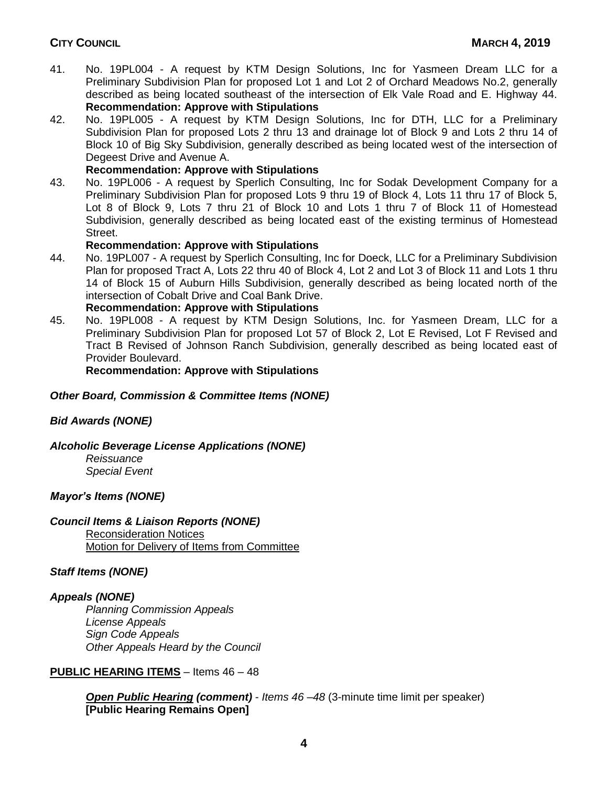- 41. No. 19PL004 A request by KTM Design Solutions, Inc for Yasmeen Dream LLC for a Preliminary Subdivision Plan for proposed Lot 1 and Lot 2 of Orchard Meadows No.2, generally described as being located southeast of the intersection of Elk Vale Road and E. Highway 44. **Recommendation: Approve with Stipulations**
- 42. No. 19PL005 A request by KTM Design Solutions, Inc for DTH, LLC for a Preliminary Subdivision Plan for proposed Lots 2 thru 13 and drainage lot of Block 9 and Lots 2 thru 14 of Block 10 of Big Sky Subdivision, generally described as being located west of the intersection of Degeest Drive and Avenue A.

# **Recommendation: Approve with Stipulations**

43. No. 19PL006 - A request by Sperlich Consulting, Inc for Sodak Development Company for a Preliminary Subdivision Plan for proposed Lots 9 thru 19 of Block 4, Lots 11 thru 17 of Block 5, Lot 8 of Block 9, Lots 7 thru 21 of Block 10 and Lots 1 thru 7 of Block 11 of Homestead Subdivision, generally described as being located east of the existing terminus of Homestead Street.

# **Recommendation: Approve with Stipulations**

44. No. 19PL007 - A request by Sperlich Consulting, Inc for Doeck, LLC for a Preliminary Subdivision Plan for proposed Tract A, Lots 22 thru 40 of Block 4, Lot 2 and Lot 3 of Block 11 and Lots 1 thru 14 of Block 15 of Auburn Hills Subdivision, generally described as being located north of the intersection of Cobalt Drive and Coal Bank Drive.

# **Recommendation: Approve with Stipulations**

45. No. 19PL008 - A request by KTM Design Solutions, Inc. for Yasmeen Dream, LLC for a Preliminary Subdivision Plan for proposed Lot 57 of Block 2, Lot E Revised, Lot F Revised and Tract B Revised of Johnson Ranch Subdivision, generally described as being located east of Provider Boulevard.

**Recommendation: Approve with Stipulations**

# *Other Board, Commission & Committee Items (NONE)*

# *Bid Awards (NONE)*

# *Alcoholic Beverage License Applications (NONE)*

*Reissuance Special Event*

# *Mayor's Items (NONE)*

# *Council Items & Liaison Reports (NONE)*

Reconsideration Notices

Motion for Delivery of Items from Committee

# *Staff Items (NONE)*

# *Appeals (NONE)*

*Planning Commission Appeals License Appeals Sign Code Appeals Other Appeals Heard by the Council*

# **PUBLIC HEARING ITEMS** – Items 46 – 48

*Open Public Hearing (comment)* - *Items 46 –48* (3-minute time limit per speaker) **[Public Hearing Remains Open]**